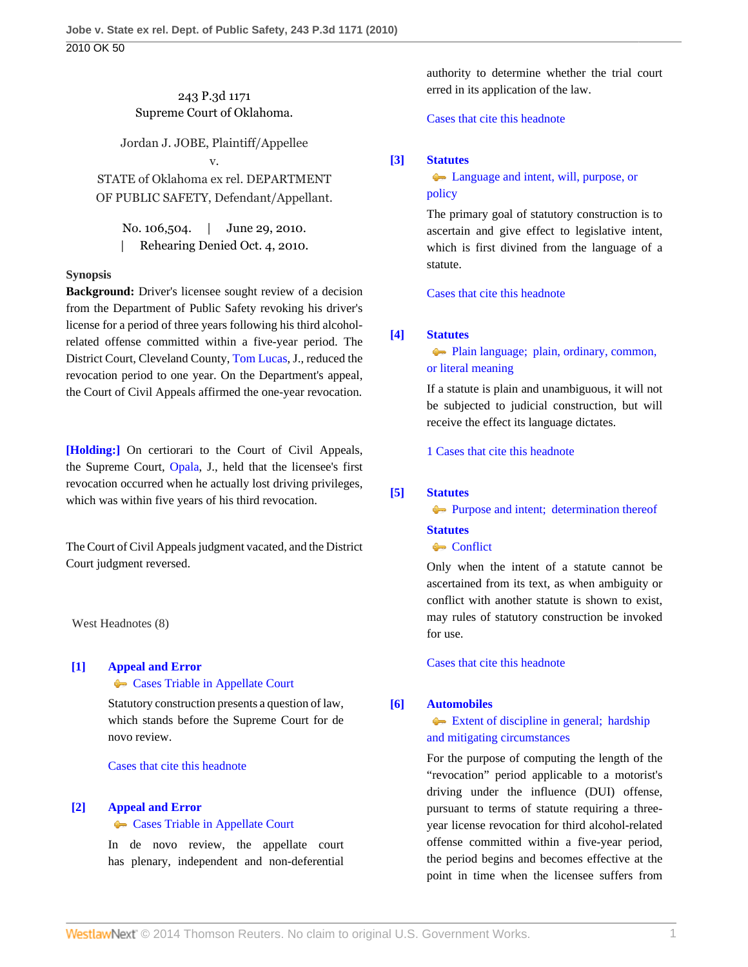## 243 P.3d 1171 Supreme Court of Oklahoma.

Jordan J. JOBE, Plaintiff/Appellee v.

STATE of Oklahoma ex rel. DEPARTMENT OF PUBLIC SAFETY, Defendant/Appellant.

No. 106,504. | June 29, 2010. | Rehearing Denied Oct. 4, 2010.

## **Synopsis**

**Background:** Driver's licensee sought review of a decision from the Department of Public Safety revoking his driver's license for a period of three years following his third alcoholrelated offense committed within a five-year period. The District Court, Cleveland County, [Tom Lucas](http://www.westlaw.com/Link/Document/FullText?findType=h&pubNum=176284&cite=0235274901&originatingDoc=I8ec0202583d611dfbe8a8e1700ec828b&refType=RQ&originationContext=document&vr=3.0&rs=cblt1.0&transitionType=DocumentItem&contextData=(sc.Search)), J., reduced the revocation period to one year. On the Department's appeal, the Court of Civil Appeals affirmed the one-year revocation.

**[\[Holding:\]](#page-1-0)** On certiorari to the Court of Civil Appeals, the Supreme Court, [Opala](http://www.westlaw.com/Link/Document/FullText?findType=h&pubNum=176284&cite=0235676801&originatingDoc=I8ec0202583d611dfbe8a8e1700ec828b&refType=RQ&originationContext=document&vr=3.0&rs=cblt1.0&transitionType=DocumentItem&contextData=(sc.Search)), J., held that the licensee's first revocation occurred when he actually lost driving privileges, which was within five years of his third revocation.

The Court of Civil Appeals judgment vacated, and the District Court judgment reversed.

West Headnotes (8)

## <span id="page-0-0"></span>**[\[1\]](#page-3-0) [Appeal and Error](http://www.westlaw.com/Browse/Home/KeyNumber/30/View.html?docGuid=I8ec0202583d611dfbe8a8e1700ec828b&originationContext=document&vr=3.0&rs=cblt1.0&transitionType=DocumentItem&contextData=(sc.Search))**

**[Cases Triable in Appellate Court](http://www.westlaw.com/Browse/Home/KeyNumber/30k893/View.html?docGuid=I8ec0202583d611dfbe8a8e1700ec828b&originationContext=document&vr=3.0&rs=cblt1.0&transitionType=DocumentItem&contextData=(sc.Search))** 

Statutory construction presents a question of law, which stands before the Supreme Court for de novo review.

[Cases that cite this headnote](http://www.westlaw.com/Link/RelatedInformation/DocHeadnoteLink?docGuid=I8ec0202583d611dfbe8a8e1700ec828b&headnoteId=202241664300120130224085632&originationContext=document&vr=3.0&rs=cblt1.0&transitionType=CitingReferences&contextData=(sc.Search))

#### <span id="page-0-1"></span>**[\[2\]](#page-3-1) [Appeal and Error](http://www.westlaw.com/Browse/Home/KeyNumber/30/View.html?docGuid=I8ec0202583d611dfbe8a8e1700ec828b&originationContext=document&vr=3.0&rs=cblt1.0&transitionType=DocumentItem&contextData=(sc.Search))**

#### **[Cases Triable in Appellate Court](http://www.westlaw.com/Browse/Home/KeyNumber/30k893/View.html?docGuid=I8ec0202583d611dfbe8a8e1700ec828b&originationContext=document&vr=3.0&rs=cblt1.0&transitionType=DocumentItem&contextData=(sc.Search))**

In de novo review, the appellate court has plenary, independent and non-deferential authority to determine whether the trial court erred in its application of the law.

[Cases that cite this headnote](http://www.westlaw.com/Link/RelatedInformation/DocHeadnoteLink?docGuid=I8ec0202583d611dfbe8a8e1700ec828b&headnoteId=202241664300220130224085632&originationContext=document&vr=3.0&rs=cblt1.0&transitionType=CitingReferences&contextData=(sc.Search))

## <span id="page-0-2"></span>**[\[3\]](#page-3-2) [Statutes](http://www.westlaw.com/Browse/Home/KeyNumber/361/View.html?docGuid=I8ec0202583d611dfbe8a8e1700ec828b&originationContext=document&vr=3.0&rs=cblt1.0&transitionType=DocumentItem&contextData=(sc.Search))**

## [Language and intent, will, purpose, or](http://www.westlaw.com/Browse/Home/KeyNumber/361k1080/View.html?docGuid=I8ec0202583d611dfbe8a8e1700ec828b&originationContext=document&vr=3.0&rs=cblt1.0&transitionType=DocumentItem&contextData=(sc.Search)) [policy](http://www.westlaw.com/Browse/Home/KeyNumber/361k1080/View.html?docGuid=I8ec0202583d611dfbe8a8e1700ec828b&originationContext=document&vr=3.0&rs=cblt1.0&transitionType=DocumentItem&contextData=(sc.Search))

The primary goal of statutory construction is to ascertain and give effect to legislative intent, which is first divined from the language of a statute.

[Cases that cite this headnote](http://www.westlaw.com/Link/RelatedInformation/DocHeadnoteLink?docGuid=I8ec0202583d611dfbe8a8e1700ec828b&headnoteId=202241664300320130224085632&originationContext=document&vr=3.0&rs=cblt1.0&transitionType=CitingReferences&contextData=(sc.Search))

### <span id="page-0-3"></span>**[\[4\]](#page-3-3) [Statutes](http://www.westlaw.com/Browse/Home/KeyNumber/361/View.html?docGuid=I8ec0202583d611dfbe8a8e1700ec828b&originationContext=document&vr=3.0&rs=cblt1.0&transitionType=DocumentItem&contextData=(sc.Search))**

[Plain language; plain, ordinary, common,](http://www.westlaw.com/Browse/Home/KeyNumber/361k1111/View.html?docGuid=I8ec0202583d611dfbe8a8e1700ec828b&originationContext=document&vr=3.0&rs=cblt1.0&transitionType=DocumentItem&contextData=(sc.Search)) [or literal meaning](http://www.westlaw.com/Browse/Home/KeyNumber/361k1111/View.html?docGuid=I8ec0202583d611dfbe8a8e1700ec828b&originationContext=document&vr=3.0&rs=cblt1.0&transitionType=DocumentItem&contextData=(sc.Search))

If a statute is plain and unambiguous, it will not be subjected to judicial construction, but will receive the effect its language dictates.

[1 Cases that cite this headnote](http://www.westlaw.com/Link/RelatedInformation/DocHeadnoteLink?docGuid=I8ec0202583d611dfbe8a8e1700ec828b&headnoteId=202241664300420130224085632&originationContext=document&vr=3.0&rs=cblt1.0&transitionType=CitingReferences&contextData=(sc.Search))

### <span id="page-0-4"></span>**[\[5\]](#page-3-4) [Statutes](http://www.westlaw.com/Browse/Home/KeyNumber/361/View.html?docGuid=I8ec0202583d611dfbe8a8e1700ec828b&originationContext=document&vr=3.0&rs=cblt1.0&transitionType=DocumentItem&contextData=(sc.Search))**

[Purpose and intent; determination thereof](http://www.westlaw.com/Browse/Home/KeyNumber/361k1105/View.html?docGuid=I8ec0202583d611dfbe8a8e1700ec828b&originationContext=document&vr=3.0&rs=cblt1.0&transitionType=DocumentItem&contextData=(sc.Search))

# **[Statutes](http://www.westlaw.com/Browse/Home/KeyNumber/361/View.html?docGuid=I8ec0202583d611dfbe8a8e1700ec828b&originationContext=document&vr=3.0&rs=cblt1.0&transitionType=DocumentItem&contextData=(sc.Search))**

## **[Conflict](http://www.westlaw.com/Browse/Home/KeyNumber/361k1215/View.html?docGuid=I8ec0202583d611dfbe8a8e1700ec828b&originationContext=document&vr=3.0&rs=cblt1.0&transitionType=DocumentItem&contextData=(sc.Search))**

Only when the intent of a statute cannot be ascertained from its text, as when ambiguity or conflict with another statute is shown to exist, may rules of statutory construction be invoked for use.

[Cases that cite this headnote](http://www.westlaw.com/Link/RelatedInformation/DocHeadnoteLink?docGuid=I8ec0202583d611dfbe8a8e1700ec828b&headnoteId=202241664300520130224085632&originationContext=document&vr=3.0&rs=cblt1.0&transitionType=CitingReferences&contextData=(sc.Search))

### <span id="page-0-5"></span>**[\[6\]](#page-4-0) [Automobiles](http://www.westlaw.com/Browse/Home/KeyNumber/48A/View.html?docGuid=I8ec0202583d611dfbe8a8e1700ec828b&originationContext=document&vr=3.0&rs=cblt1.0&transitionType=DocumentItem&contextData=(sc.Search))**

## [Extent of discipline in general; hardship](http://www.westlaw.com/Browse/Home/KeyNumber/48Ak144.5/View.html?docGuid=I8ec0202583d611dfbe8a8e1700ec828b&originationContext=document&vr=3.0&rs=cblt1.0&transitionType=DocumentItem&contextData=(sc.Search)) [and mitigating circumstances](http://www.westlaw.com/Browse/Home/KeyNumber/48Ak144.5/View.html?docGuid=I8ec0202583d611dfbe8a8e1700ec828b&originationContext=document&vr=3.0&rs=cblt1.0&transitionType=DocumentItem&contextData=(sc.Search))

For the purpose of computing the length of the "revocation" period applicable to a motorist's driving under the influence (DUI) offense, pursuant to terms of statute requiring a threeyear license revocation for third alcohol-related offense committed within a five-year period, the period begins and becomes effective at the point in time when the licensee suffers from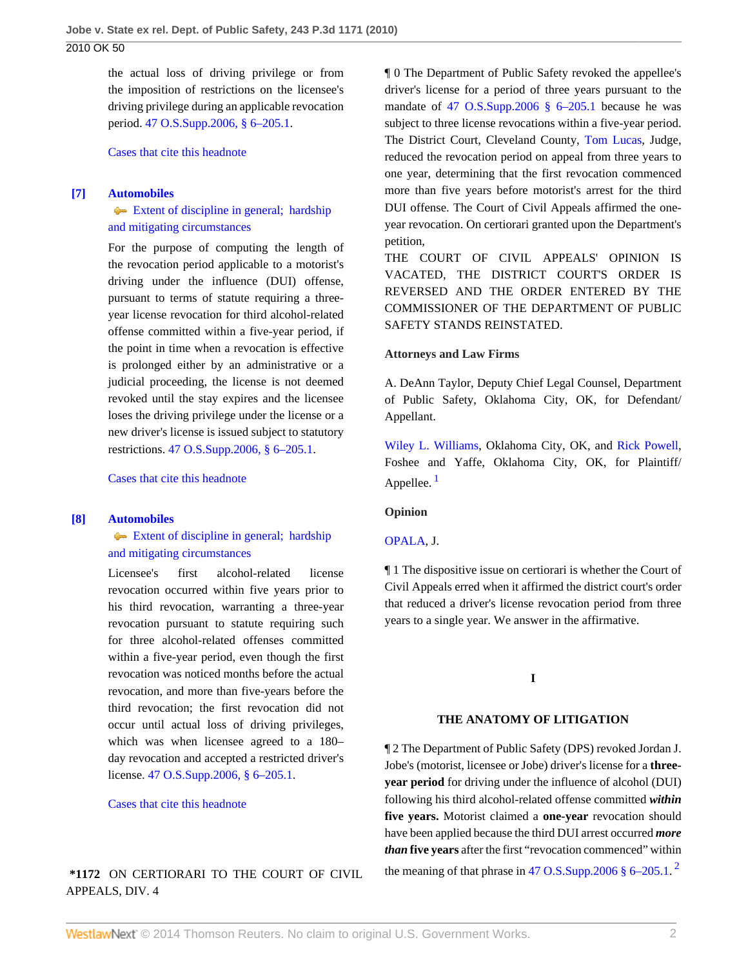the actual loss of driving privilege or from the imposition of restrictions on the licensee's driving privilege during an applicable revocation period. [47 O.S.Supp.2006, § 6–205.1](http://www.westlaw.com/Link/Document/FullText?findType=L&pubNum=1000165&cite=OKSTT47S6-205.1&originatingDoc=I8ec0202583d611dfbe8a8e1700ec828b&refType=LQ&originationContext=document&vr=3.0&rs=cblt1.0&transitionType=DocumentItem&contextData=(sc.Search)).

[Cases that cite this headnote](http://www.westlaw.com/Link/RelatedInformation/DocHeadnoteLink?docGuid=I8ec0202583d611dfbe8a8e1700ec828b&headnoteId=202241664300620130224085632&originationContext=document&vr=3.0&rs=cblt1.0&transitionType=CitingReferences&contextData=(sc.Search))

#### <span id="page-1-1"></span>**[\[7\]](#page-4-1) [Automobiles](http://www.westlaw.com/Browse/Home/KeyNumber/48A/View.html?docGuid=I8ec0202583d611dfbe8a8e1700ec828b&originationContext=document&vr=3.0&rs=cblt1.0&transitionType=DocumentItem&contextData=(sc.Search))**

[Extent of discipline in general; hardship](http://www.westlaw.com/Browse/Home/KeyNumber/48Ak144.5/View.html?docGuid=I8ec0202583d611dfbe8a8e1700ec828b&originationContext=document&vr=3.0&rs=cblt1.0&transitionType=DocumentItem&contextData=(sc.Search)) [and mitigating circumstances](http://www.westlaw.com/Browse/Home/KeyNumber/48Ak144.5/View.html?docGuid=I8ec0202583d611dfbe8a8e1700ec828b&originationContext=document&vr=3.0&rs=cblt1.0&transitionType=DocumentItem&contextData=(sc.Search))

For the purpose of computing the length of the revocation period applicable to a motorist's driving under the influence (DUI) offense, pursuant to terms of statute requiring a threeyear license revocation for third alcohol-related offense committed within a five-year period, if the point in time when a revocation is effective is prolonged either by an administrative or a judicial proceeding, the license is not deemed revoked until the stay expires and the licensee loses the driving privilege under the license or a new driver's license is issued subject to statutory restrictions. [47 O.S.Supp.2006, § 6–205.1](http://www.westlaw.com/Link/Document/FullText?findType=L&pubNum=1000165&cite=OKSTT47S6-205.1&originatingDoc=I8ec0202583d611dfbe8a8e1700ec828b&refType=LQ&originationContext=document&vr=3.0&rs=cblt1.0&transitionType=DocumentItem&contextData=(sc.Search)).

[Cases that cite this headnote](http://www.westlaw.com/Link/RelatedInformation/DocHeadnoteLink?docGuid=I8ec0202583d611dfbe8a8e1700ec828b&headnoteId=202241664300720130224085632&originationContext=document&vr=3.0&rs=cblt1.0&transitionType=CitingReferences&contextData=(sc.Search))

#### <span id="page-1-0"></span>**[\[8\]](#page-4-2) [Automobiles](http://www.westlaw.com/Browse/Home/KeyNumber/48A/View.html?docGuid=I8ec0202583d611dfbe8a8e1700ec828b&originationContext=document&vr=3.0&rs=cblt1.0&transitionType=DocumentItem&contextData=(sc.Search))**

[Extent of discipline in general; hardship](http://www.westlaw.com/Browse/Home/KeyNumber/48Ak144.5/View.html?docGuid=I8ec0202583d611dfbe8a8e1700ec828b&originationContext=document&vr=3.0&rs=cblt1.0&transitionType=DocumentItem&contextData=(sc.Search)) [and mitigating circumstances](http://www.westlaw.com/Browse/Home/KeyNumber/48Ak144.5/View.html?docGuid=I8ec0202583d611dfbe8a8e1700ec828b&originationContext=document&vr=3.0&rs=cblt1.0&transitionType=DocumentItem&contextData=(sc.Search))

Licensee's first alcohol-related license revocation occurred within five years prior to his third revocation, warranting a three-year revocation pursuant to statute requiring such for three alcohol-related offenses committed within a five-year period, even though the first revocation was noticed months before the actual revocation, and more than five-years before the third revocation; the first revocation did not occur until actual loss of driving privileges, which was when licensee agreed to a 180– day revocation and accepted a restricted driver's license. [47 O.S.Supp.2006, § 6–205.1.](http://www.westlaw.com/Link/Document/FullText?findType=L&pubNum=1000165&cite=OKSTT47S6-205.1&originatingDoc=I8ec0202583d611dfbe8a8e1700ec828b&refType=LQ&originationContext=document&vr=3.0&rs=cblt1.0&transitionType=DocumentItem&contextData=(sc.Search))

[Cases that cite this headnote](http://www.westlaw.com/Link/RelatedInformation/DocHeadnoteLink?docGuid=I8ec0202583d611dfbe8a8e1700ec828b&headnoteId=202241664300820130224085632&originationContext=document&vr=3.0&rs=cblt1.0&transitionType=CitingReferences&contextData=(sc.Search))

## **\*1172** ON CERTIORARI TO THE COURT OF CIVIL APPEALS, DIV. 4

¶ 0 The Department of Public Safety revoked the appellee's driver's license for a period of three years pursuant to the mandate of [47 O.S.Supp.2006 § 6–205.1](http://www.westlaw.com/Link/Document/FullText?findType=L&pubNum=1000165&cite=OKSTT47S6-205.1&originatingDoc=I8ec0202583d611dfbe8a8e1700ec828b&refType=LQ&originationContext=document&vr=3.0&rs=cblt1.0&transitionType=DocumentItem&contextData=(sc.Search)) because he was subject to three license revocations within a five-year period. The District Court, Cleveland County, [Tom Lucas,](http://www.westlaw.com/Link/Document/FullText?findType=h&pubNum=176284&cite=0235274901&originatingDoc=I8ec0202583d611dfbe8a8e1700ec828b&refType=RQ&originationContext=document&vr=3.0&rs=cblt1.0&transitionType=DocumentItem&contextData=(sc.Search)) Judge, reduced the revocation period on appeal from three years to one year, determining that the first revocation commenced more than five years before motorist's arrest for the third DUI offense. The Court of Civil Appeals affirmed the oneyear revocation. On certiorari granted upon the Department's petition,

THE COURT OF CIVIL APPEALS' OPINION IS VACATED, THE DISTRICT COURT'S ORDER IS REVERSED AND THE ORDER ENTERED BY THE COMMISSIONER OF THE DEPARTMENT OF PUBLIC SAFETY STANDS REINSTATED.

#### **Attorneys and Law Firms**

A. DeAnn Taylor, Deputy Chief Legal Counsel, Department of Public Safety, Oklahoma City, OK, for Defendant/ Appellant.

<span id="page-1-2"></span>[Wiley L. Williams,](http://www.westlaw.com/Link/Document/FullText?findType=h&pubNum=176284&cite=0137542801&originatingDoc=I8ec0202583d611dfbe8a8e1700ec828b&refType=RQ&originationContext=document&vr=3.0&rs=cblt1.0&transitionType=DocumentItem&contextData=(sc.Search)) Oklahoma City, OK, and [Rick Powell,](http://www.westlaw.com/Link/Document/FullText?findType=h&pubNum=176284&cite=0210940801&originatingDoc=I8ec0202583d611dfbe8a8e1700ec828b&refType=RQ&originationContext=document&vr=3.0&rs=cblt1.0&transitionType=DocumentItem&contextData=(sc.Search)) Foshee and Yaffe, Oklahoma City, OK, for Plaintiff/ Appellee. $<sup>1</sup>$  $<sup>1</sup>$  $<sup>1</sup>$ </sup>

**Opinion**

## [OPALA](http://www.westlaw.com/Link/Document/FullText?findType=h&pubNum=176284&cite=0235676801&originatingDoc=I8ec0202583d611dfbe8a8e1700ec828b&refType=RQ&originationContext=document&vr=3.0&rs=cblt1.0&transitionType=DocumentItem&contextData=(sc.Search)), J.

¶ 1 The dispositive issue on certiorari is whether the Court of Civil Appeals erred when it affirmed the district court's order that reduced a driver's license revocation period from three years to a single year. We answer in the affirmative.

## <span id="page-1-3"></span>**I**

### **THE ANATOMY OF LITIGATION**

¶ 2 The Department of Public Safety (DPS) revoked Jordan J. Jobe's (motorist, licensee or Jobe) driver's license for a **threeyear period** for driving under the influence of alcohol (DUI) following his third alcohol-related offense committed *within* **five years.** Motorist claimed a **one-year** revocation should have been applied because the third DUI arrest occurred *more than* **five years** after the first "revocation commenced" within the meaning of that phrase in 47 O.S.Supp.[2](#page-4-4)006  $\S 6-205.1$ .<sup>2</sup>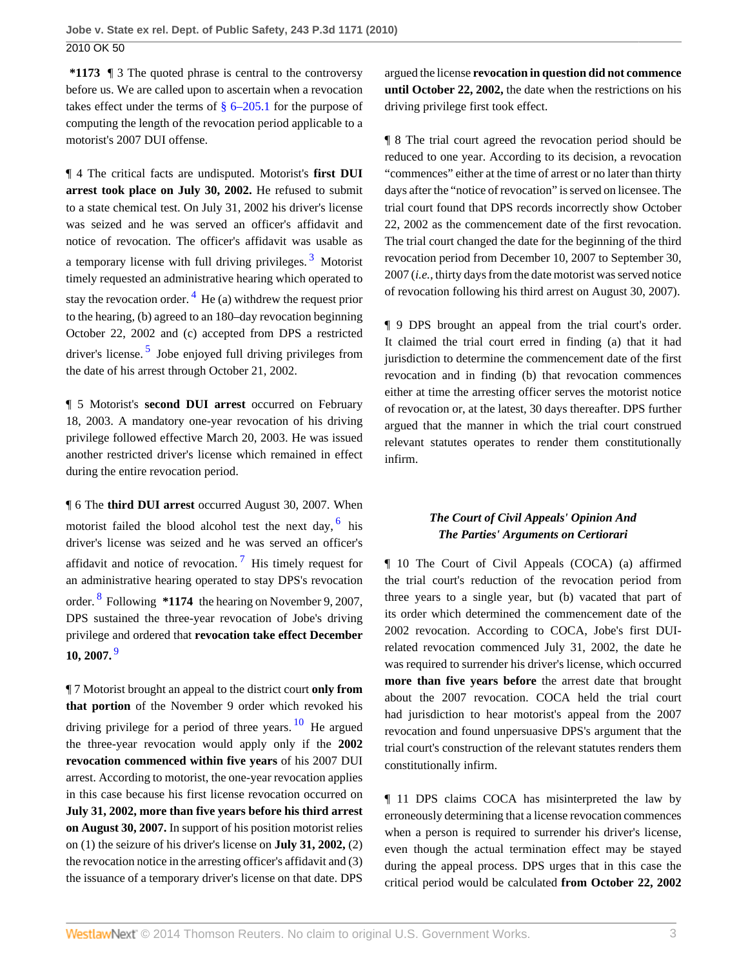**\*1173** ¶ 3 The quoted phrase is central to the controversy before us. We are called upon to ascertain when a revocation takes effect under the terms of  $\S 6-205.1$  for the purpose of computing the length of the revocation period applicable to a motorist's 2007 DUI offense.

¶ 4 The critical facts are undisputed. Motorist's **first DUI arrest took place on July 30, 2002.** He refused to submit to a state chemical test. On July 31, 2002 his driver's license was seized and he was served an officer's affidavit and notice of revocation. The officer's affidavit was usable as a temporary license with full driving privileges.<sup>[3](#page-5-0)</sup> Motorist timely requested an administrative hearing which operated to stay the revocation order.  $4$  He (a) withdrew the request prior to the hearing, (b) agreed to an 180–day revocation beginning October 22, 2002 and (c) accepted from DPS a restricted driver's license.<sup>[5](#page-5-2)</sup> Jobe enjoyed full driving privileges from the date of his arrest through October 21, 2002.

<span id="page-2-2"></span><span id="page-2-1"></span>¶ 5 Motorist's **second DUI arrest** occurred on February 18, 2003. A mandatory one-year revocation of his driving privilege followed effective March 20, 2003. He was issued another restricted driver's license which remained in effect during the entire revocation period.

<span id="page-2-5"></span>¶ 6 The **third DUI arrest** occurred August 30, 2007. When motorist failed the blood alcohol test the next day, <sup>[6](#page-5-3)</sup> his driver's license was seized and he was served an officer's affidavit and notice of revocation.<sup>[7](#page-5-4)</sup> His timely request for an administrative hearing operated to stay DPS's revocation order. [8](#page-5-5) Following **\*1174** the hearing on November 9, 2007, DPS sustained the three-year revocation of Jobe's driving privilege and ordered that **revocation take effect December 10, 2007.** [9](#page-6-0)

<span id="page-2-6"></span>¶ 7 Motorist brought an appeal to the district court **only from that portion** of the November 9 order which revoked his driving privilege for a period of three years.  $\frac{10}{10}$  $\frac{10}{10}$  $\frac{10}{10}$  He argued the three-year revocation would apply only if the **2002 revocation commenced within five years** of his 2007 DUI arrest. According to motorist, the one-year revocation applies in this case because his first license revocation occurred on **July 31, 2002, more than five years before his third arrest on August 30, 2007.** In support of his position motorist relies on (1) the seizure of his driver's license on **July 31, 2002,** (2) the revocation notice in the arresting officer's affidavit and (3) the issuance of a temporary driver's license on that date. DPS

argued the license **revocation in question did not commence until October 22, 2002,** the date when the restrictions on his driving privilege first took effect.

¶ 8 The trial court agreed the revocation period should be reduced to one year. According to its decision, a revocation "commences" either at the time of arrest or no later than thirty days after the "notice of revocation" is served on licensee. The trial court found that DPS records incorrectly show October 22, 2002 as the commencement date of the first revocation. The trial court changed the date for the beginning of the third revocation period from December 10, 2007 to September 30, 2007 (*i.e.,* thirty days from the date motorist was served notice of revocation following his third arrest on August 30, 2007).

<span id="page-2-0"></span>¶ 9 DPS brought an appeal from the trial court's order. It claimed the trial court erred in finding (a) that it had jurisdiction to determine the commencement date of the first revocation and in finding (b) that revocation commences either at time the arresting officer serves the motorist notice of revocation or, at the latest, 30 days thereafter. DPS further argued that the manner in which the trial court construed relevant statutes operates to render them constitutionally infirm.

## *The Court of Civil Appeals' Opinion And The Parties' Arguments on Certiorari*

<span id="page-2-4"></span><span id="page-2-3"></span>¶ 10 The Court of Civil Appeals (COCA) (a) affirmed the trial court's reduction of the revocation period from three years to a single year, but (b) vacated that part of its order which determined the commencement date of the 2002 revocation. According to COCA, Jobe's first DUIrelated revocation commenced July 31, 2002, the date he was required to surrender his driver's license, which occurred **more than five years before** the arrest date that brought about the 2007 revocation. COCA held the trial court had jurisdiction to hear motorist's appeal from the 2007 revocation and found unpersuasive DPS's argument that the trial court's construction of the relevant statutes renders them constitutionally infirm.

<span id="page-2-7"></span>¶ 11 DPS claims COCA has misinterpreted the law by erroneously determining that a license revocation commences when a person is required to surrender his driver's license, even though the actual termination effect may be stayed during the appeal process. DPS urges that in this case the critical period would be calculated **from October 22, 2002**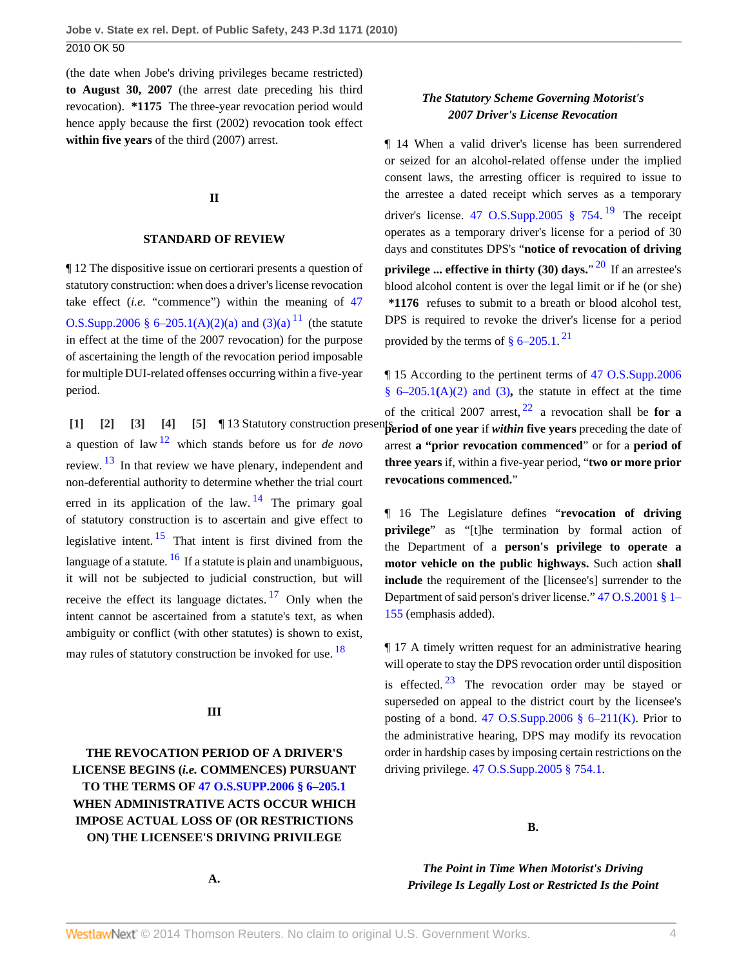(the date when Jobe's driving privileges became restricted) **to August 30, 2007** (the arrest date preceding his third revocation). **\*1175** The three-year revocation period would hence apply because the first (2002) revocation took effect **within five years** of the third (2007) arrest.

### **II**

#### **STANDARD OF REVIEW**

¶ 12 The dispositive issue on certiorari presents a question of statutory construction: when does a driver's license revocation take effect (*i.e.* "commence") within the meaning of [47](http://www.westlaw.com/Link/Document/FullText?findType=L&pubNum=1000165&cite=OKSTT47S6-205.1&originatingDoc=I8ec0202583d611dfbe8a8e1700ec828b&refType=LQ&originationContext=document&vr=3.0&rs=cblt1.0&transitionType=DocumentItem&contextData=(sc.Search)) [O.S.Supp.2006 § 6–205.1\(A\)\(2\)\(a\) and \(3\)\(a\)](http://www.westlaw.com/Link/Document/FullText?findType=L&pubNum=1000165&cite=OKSTT47S6-205.1&originatingDoc=I8ec0202583d611dfbe8a8e1700ec828b&refType=LQ&originationContext=document&vr=3.0&rs=cblt1.0&transitionType=DocumentItem&contextData=(sc.Search))  $^{11}$  $^{11}$  $^{11}$  (the statute in effect at the time of the 2007 revocation) for the purpose of ascertaining the length of the revocation period imposable for multiple DUI-related offenses occurring within a five-year period.

<span id="page-3-9"></span><span id="page-3-7"></span><span id="page-3-6"></span><span id="page-3-4"></span><span id="page-3-3"></span><span id="page-3-2"></span><span id="page-3-1"></span><span id="page-3-0"></span>**[\[1\]](#page-0-0) [\[2\]](#page-0-1) [\[3\]](#page-0-2) [\[4\]](#page-0-3) [\[5\]](#page-0-4) [13 Statutory construction prese** a question of law [12](#page-6-3) which stands before us for *de novo* review. <sup>[13](#page-6-4)</sup> In that review we have plenary, independent and non-deferential authority to determine whether the trial court erred in its application of the law.  $14$  The primary goal of statutory construction is to ascertain and give effect to legislative intent.  $15$  That intent is first divined from the language of a statute.  $\frac{16}{16}$  $\frac{16}{16}$  $\frac{16}{16}$  If a statute is plain and unambiguous, it will not be subjected to judicial construction, but will receive the effect its language dictates.  $17$  Only when the intent cannot be ascertained from a statute's text, as when ambiguity or conflict (with other statutes) is shown to exist, may rules of statutory construction be invoked for use.  $18$ 

#### <span id="page-3-10"></span>**III**

# **THE REVOCATION PERIOD OF A DRIVER'S LICENSE BEGINS (***i.e.* **COMMENCES) PURSUANT TO THE TERMS OF [47 O.S.SUPP.2006 § 6–205.1](http://www.westlaw.com/Link/Document/FullText?findType=L&pubNum=1000165&cite=OKSTT47S6-205.1&originatingDoc=I8ec0202583d611dfbe8a8e1700ec828b&refType=LQ&originationContext=document&vr=3.0&rs=cblt1.0&transitionType=DocumentItem&contextData=(sc.Search)) WHEN ADMINISTRATIVE ACTS OCCUR WHICH IMPOSE ACTUAL LOSS OF (OR RESTRICTIONS ON) THE LICENSEE'S DRIVING PRIVILEGE**

#### **A.**

<span id="page-3-13"></span>*The Statutory Scheme Governing Motorist's 2007 Driver's License Revocation*

¶ 14 When a valid driver's license has been surrendered or seized for an alcohol-related offense under the implied consent laws, the arresting officer is required to issue to the arrestee a dated receipt which serves as a temporary driver's license. 47 O.S.Supp.2005  $\S$  754.<sup>[19](#page-6-10)</sup> The receipt operates as a temporary driver's license for a period of 30 days and constitutes DPS's "**notice of revocation of driving privilege ... effective in thirty (30) days.**" [20](#page-6-11) If an arrestee's blood alcohol content is over the legal limit or if he (or she) **\*1176** refuses to submit to a breath or blood alcohol test, DPS is required to revoke the driver's license for a period provided by the terms of  $\S$  6–205.1.<sup>[21](#page-6-12)</sup>

<span id="page-3-16"></span><span id="page-3-15"></span><span id="page-3-14"></span><span id="page-3-5"></span>¶ 15 According to the pertinent terms of [47 O.S.Supp.2006](http://www.westlaw.com/Link/Document/FullText?findType=L&pubNum=1000165&cite=OKSTT47S6-205.1&originatingDoc=I8ec0202583d611dfbe8a8e1700ec828b&refType=LQ&originationContext=document&vr=3.0&rs=cblt1.0&transitionType=DocumentItem&contextData=(sc.Search)) § 6–205.1**(**[A\)\(2\) and \(3\)](http://www.westlaw.com/Link/Document/FullText?findType=L&pubNum=1000165&cite=OKSTT47S6-205.1&originatingDoc=I8ec0202583d611dfbe8a8e1700ec828b&refType=LQ&originationContext=document&vr=3.0&rs=cblt1.0&transitionType=DocumentItem&contextData=(sc.Search))**,** the statute in effect at the time of the critical 2007 arrest, [22](#page-6-13) a revocation shall be **for a period of one year** if *within* **five years** preceding the date of arrest **a "prior revocation commenced**" or for a **period of three years** if, within a five-year period, "**two or more prior revocations commenced.**"

<span id="page-3-8"></span>¶ 16 The Legislature defines "**revocation of driving privilege**" as "[t]he termination by formal action of the Department of a **person's privilege to operate a motor vehicle on the public highways.** Such action **shall include** the requirement of the [licensee's] surrender to the Department of said person's driver license." [47 O.S.2001 § 1–](http://www.westlaw.com/Link/Document/FullText?findType=L&pubNum=1000165&cite=OKSTT47S1-155&originatingDoc=I8ec0202583d611dfbe8a8e1700ec828b&refType=LQ&originationContext=document&vr=3.0&rs=cblt1.0&transitionType=DocumentItem&contextData=(sc.Search)) [155](http://www.westlaw.com/Link/Document/FullText?findType=L&pubNum=1000165&cite=OKSTT47S1-155&originatingDoc=I8ec0202583d611dfbe8a8e1700ec828b&refType=LQ&originationContext=document&vr=3.0&rs=cblt1.0&transitionType=DocumentItem&contextData=(sc.Search)) (emphasis added).

<span id="page-3-17"></span><span id="page-3-12"></span><span id="page-3-11"></span>¶ 17 A timely written request for an administrative hearing will operate to stay the DPS revocation order until disposition is effected.  $23$  The revocation order may be stayed or superseded on appeal to the district court by the licensee's posting of a bond. 47 O.S.Supp.2006  $\S$  6–211(K). Prior to the administrative hearing, DPS may modify its revocation order in hardship cases by imposing certain restrictions on the driving privilege. [47 O.S.Supp.2005 § 754.1.](http://www.westlaw.com/Link/Document/FullText?findType=L&pubNum=1000165&cite=OKSTT47S754.1&originatingDoc=I8ec0202583d611dfbe8a8e1700ec828b&refType=LQ&originationContext=document&vr=3.0&rs=cblt1.0&transitionType=DocumentItem&contextData=(sc.Search))

**B.**

*The Point in Time When Motorist's Driving Privilege Is Legally Lost or Restricted Is the Point*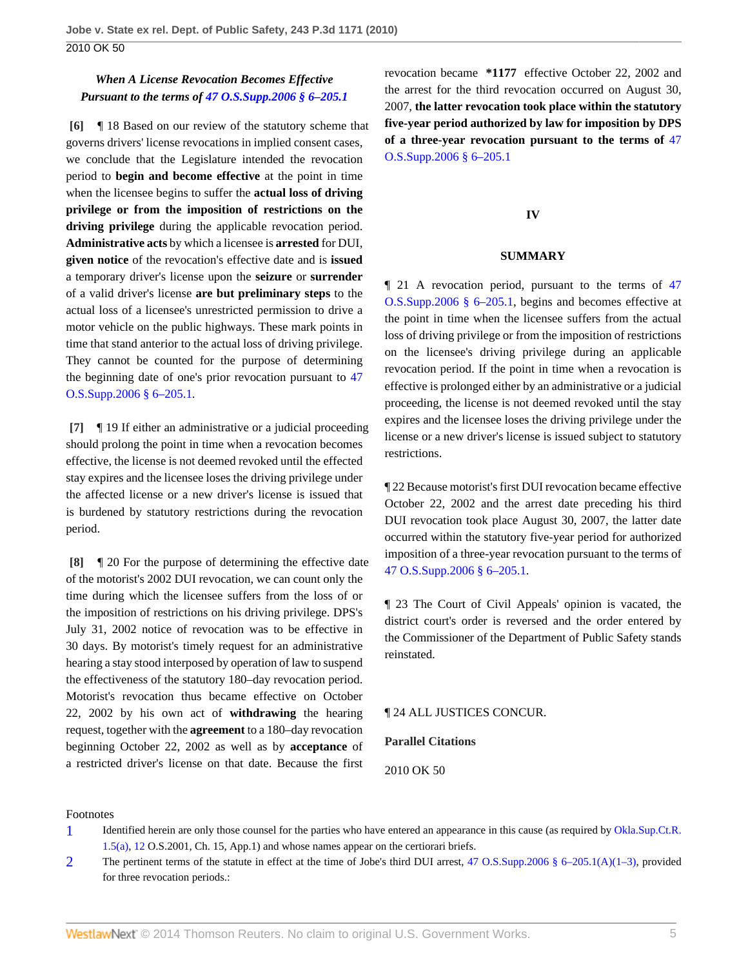## *When A License Revocation Becomes Effective Pursuant to the terms of [47 O.S.Supp.2006 § 6–205.1](http://www.westlaw.com/Link/Document/FullText?findType=L&pubNum=1000165&cite=OKSTT47S6-205.1&originatingDoc=I8ec0202583d611dfbe8a8e1700ec828b&refType=LQ&originationContext=document&vr=3.0&rs=cblt1.0&transitionType=DocumentItem&contextData=(sc.Search))*

<span id="page-4-0"></span>**[\[6\]](#page-0-5)** ¶ 18 Based on our review of the statutory scheme that governs drivers' license revocations in implied consent cases, we conclude that the Legislature intended the revocation period to **begin and become effective** at the point in time when the licensee begins to suffer the **actual loss of driving privilege or from the imposition of restrictions on the driving privilege** during the applicable revocation period. **Administrative acts** by which a licensee is **arrested** for DUI, **given notice** of the revocation's effective date and is **issued** a temporary driver's license upon the **seizure** or **surrender** of a valid driver's license **are but preliminary steps** to the actual loss of a licensee's unrestricted permission to drive a motor vehicle on the public highways. These mark points in time that stand anterior to the actual loss of driving privilege. They cannot be counted for the purpose of determining the beginning date of one's prior revocation pursuant to [47](http://www.westlaw.com/Link/Document/FullText?findType=L&pubNum=1000165&cite=OKSTT47S6-205.1&originatingDoc=I8ec0202583d611dfbe8a8e1700ec828b&refType=LQ&originationContext=document&vr=3.0&rs=cblt1.0&transitionType=DocumentItem&contextData=(sc.Search)) [O.S.Supp.2006 § 6–205.1](http://www.westlaw.com/Link/Document/FullText?findType=L&pubNum=1000165&cite=OKSTT47S6-205.1&originatingDoc=I8ec0202583d611dfbe8a8e1700ec828b&refType=LQ&originationContext=document&vr=3.0&rs=cblt1.0&transitionType=DocumentItem&contextData=(sc.Search)).

<span id="page-4-1"></span>**[\[7\]](#page-1-1)** ¶ 19 If either an administrative or a judicial proceeding should prolong the point in time when a revocation becomes effective, the license is not deemed revoked until the effected stay expires and the licensee loses the driving privilege under the affected license or a new driver's license is issued that is burdened by statutory restrictions during the revocation period.

<span id="page-4-2"></span>**[\[8\]](#page-1-0)** ¶ 20 For the purpose of determining the effective date of the motorist's 2002 DUI revocation, we can count only the time during which the licensee suffers from the loss of or the imposition of restrictions on his driving privilege. DPS's July 31, 2002 notice of revocation was to be effective in 30 days. By motorist's timely request for an administrative hearing a stay stood interposed by operation of law to suspend the effectiveness of the statutory 180–day revocation period. Motorist's revocation thus became effective on October 22, 2002 by his own act of **withdrawing** the hearing request, together with the **agreement** to a 180–day revocation beginning October 22, 2002 as well as by **acceptance** of a restricted driver's license on that date. Because the first

revocation became **\*1177** effective October 22, 2002 and the arrest for the third revocation occurred on August 30, 2007, **the latter revocation took place within the statutory five-year period authorized by law for imposition by DPS of a three-year revocation pursuant to the terms of** [47](http://www.westlaw.com/Link/Document/FullText?findType=L&pubNum=1000165&cite=OKSTT47S6-205.1&originatingDoc=I8ec0202583d611dfbe8a8e1700ec828b&refType=LQ&originationContext=document&vr=3.0&rs=cblt1.0&transitionType=DocumentItem&contextData=(sc.Search)) [O.S.Supp.2006 § 6–205.1](http://www.westlaw.com/Link/Document/FullText?findType=L&pubNum=1000165&cite=OKSTT47S6-205.1&originatingDoc=I8ec0202583d611dfbe8a8e1700ec828b&refType=LQ&originationContext=document&vr=3.0&rs=cblt1.0&transitionType=DocumentItem&contextData=(sc.Search))

## **IV**

### **SUMMARY**

¶ 21 A revocation period, pursuant to the terms of [47](http://www.westlaw.com/Link/Document/FullText?findType=L&pubNum=1000165&cite=OKSTT47S6-205.1&originatingDoc=I8ec0202583d611dfbe8a8e1700ec828b&refType=LQ&originationContext=document&vr=3.0&rs=cblt1.0&transitionType=DocumentItem&contextData=(sc.Search)) [O.S.Supp.2006 § 6–205.1](http://www.westlaw.com/Link/Document/FullText?findType=L&pubNum=1000165&cite=OKSTT47S6-205.1&originatingDoc=I8ec0202583d611dfbe8a8e1700ec828b&refType=LQ&originationContext=document&vr=3.0&rs=cblt1.0&transitionType=DocumentItem&contextData=(sc.Search)), begins and becomes effective at the point in time when the licensee suffers from the actual loss of driving privilege or from the imposition of restrictions on the licensee's driving privilege during an applicable revocation period. If the point in time when a revocation is effective is prolonged either by an administrative or a judicial proceeding, the license is not deemed revoked until the stay expires and the licensee loses the driving privilege under the license or a new driver's license is issued subject to statutory restrictions.

¶ 22 Because motorist's first DUI revocation became effective October 22, 2002 and the arrest date preceding his third DUI revocation took place August 30, 2007, the latter date occurred within the statutory five-year period for authorized imposition of a three-year revocation pursuant to the terms of [47 O.S.Supp.2006 § 6–205.1.](http://www.westlaw.com/Link/Document/FullText?findType=L&pubNum=1000165&cite=OKSTT47S6-205.1&originatingDoc=I8ec0202583d611dfbe8a8e1700ec828b&refType=LQ&originationContext=document&vr=3.0&rs=cblt1.0&transitionType=DocumentItem&contextData=(sc.Search))

¶ 23 The Court of Civil Appeals' opinion is vacated, the district court's order is reversed and the order entered by the Commissioner of the Department of Public Safety stands reinstated.

#### ¶ 24 ALL JUSTICES CONCUR.

#### **Parallel Citations**

2010 OK 50

#### Footnotes

- <span id="page-4-3"></span>[1](#page-1-2) Identified herein are only those counsel for the parties who have entered an appearance in this cause (as required by [Okla.Sup.Ct.R.](http://www.westlaw.com/Link/Document/FullText?findType=L&pubNum=1000786&cite=OKSTSCTR1.5&originatingDoc=I8ec0202583d611dfbe8a8e1700ec828b&refType=LQ&originationContext=document&vr=3.0&rs=cblt1.0&transitionType=DocumentItem&contextData=(sc.Search)) [1.5\(a\)](http://www.westlaw.com/Link/Document/FullText?findType=L&pubNum=1000786&cite=OKSTSCTR1.5&originatingDoc=I8ec0202583d611dfbe8a8e1700ec828b&refType=LQ&originationContext=document&vr=3.0&rs=cblt1.0&transitionType=DocumentItem&contextData=(sc.Search)), [12](http://www.westlaw.com/Link/Document/FullText?findType=L&pubNum=1000786&cite=OKSTSCTR1.12&originatingDoc=I8ec0202583d611dfbe8a8e1700ec828b&refType=LQ&originationContext=document&vr=3.0&rs=cblt1.0&transitionType=DocumentItem&contextData=(sc.Search)) O.S.2001, Ch. 15, App.1) and whose names appear on the certiorari briefs.
- <span id="page-4-4"></span>[2](#page-1-3) The pertinent terms of the statute in effect at the time of Jobe's third DUI arrest, [47 O.S.Supp.2006 § 6–205.1\(A\)\(1–3\),](http://www.westlaw.com/Link/Document/FullText?findType=L&pubNum=1000165&cite=OKSTT47S6-205.1&originatingDoc=I8ec0202583d611dfbe8a8e1700ec828b&refType=LQ&originationContext=document&vr=3.0&rs=cblt1.0&transitionType=DocumentItem&contextData=(sc.Search)) provided for three revocation periods.: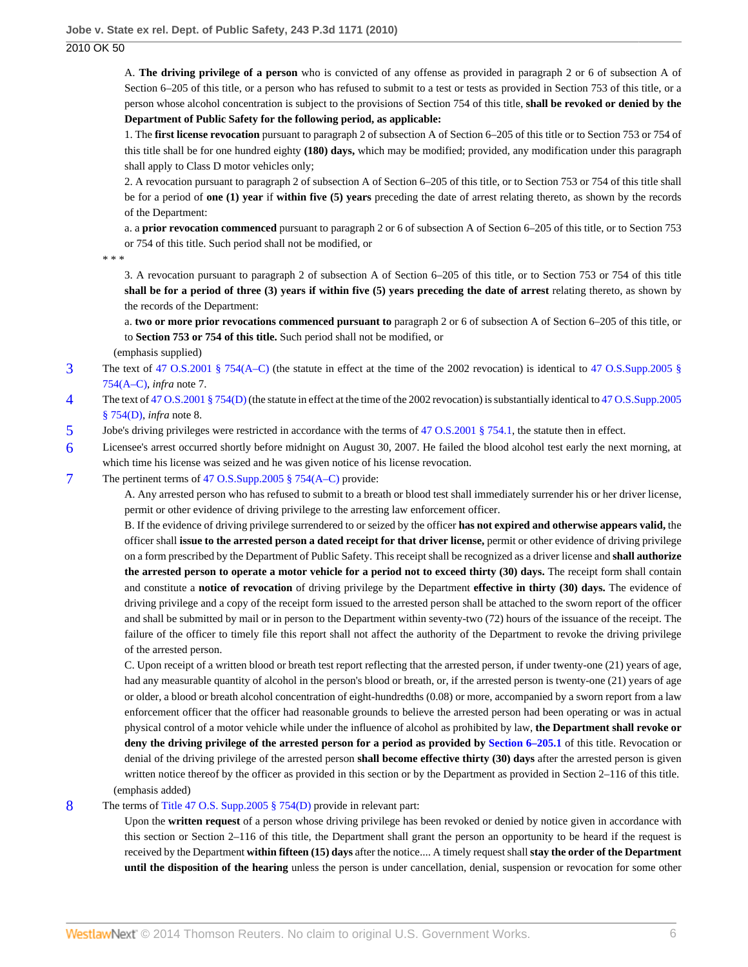2010 OK 50

A. **The driving privilege of a person** who is convicted of any offense as provided in paragraph 2 or 6 of subsection A of Section 6–205 of this title, or a person who has refused to submit to a test or tests as provided in Section 753 of this title, or a person whose alcohol concentration is subject to the provisions of Section 754 of this title, **shall be revoked or denied by the Department of Public Safety for the following period, as applicable:**

1. The **first license revocation** pursuant to paragraph 2 of subsection A of Section 6–205 of this title or to Section 753 or 754 of this title shall be for one hundred eighty **(180) days,** which may be modified; provided, any modification under this paragraph shall apply to Class D motor vehicles only;

2. A revocation pursuant to paragraph 2 of subsection A of Section 6–205 of this title, or to Section 753 or 754 of this title shall be for a period of **one (1) year** if **within five (5) years** preceding the date of arrest relating thereto, as shown by the records of the Department:

a. a **prior revocation commenced** pursuant to paragraph 2 or 6 of subsection A of Section 6–205 of this title, or to Section 753 or 754 of this title. Such period shall not be modified, or

\* \* \*

3. A revocation pursuant to paragraph 2 of subsection A of Section 6–205 of this title, or to Section 753 or 754 of this title **shall be for a period of three (3) years if within five (5) years preceding the date of arrest** relating thereto, as shown by the records of the Department:

a. **two or more prior revocations commenced pursuant to** paragraph 2 or 6 of subsection A of Section 6–205 of this title, or to **Section 753 or 754 of this title.** Such period shall not be modified, or

(emphasis supplied)

- <span id="page-5-0"></span>[3](#page-2-0) The text of [47 O.S.2001 § 754\(A–C\)](http://www.westlaw.com/Link/Document/FullText?findType=L&pubNum=1000165&cite=OKSTT47S754&originatingDoc=I8ec0202583d611dfbe8a8e1700ec828b&refType=LQ&originationContext=document&vr=3.0&rs=cblt1.0&transitionType=DocumentItem&contextData=(sc.Search)) (the statute in effect at the time of the 2002 revocation) is identical to [47 O.S.Supp.2005 §](http://www.westlaw.com/Link/Document/FullText?findType=L&pubNum=1000165&cite=OKSTT47S754&originatingDoc=I8ec0202583d611dfbe8a8e1700ec828b&refType=LQ&originationContext=document&vr=3.0&rs=cblt1.0&transitionType=DocumentItem&contextData=(sc.Search)) [754\(A–C\)](http://www.westlaw.com/Link/Document/FullText?findType=L&pubNum=1000165&cite=OKSTT47S754&originatingDoc=I8ec0202583d611dfbe8a8e1700ec828b&refType=LQ&originationContext=document&vr=3.0&rs=cblt1.0&transitionType=DocumentItem&contextData=(sc.Search)), *infra* note 7.
- <span id="page-5-1"></span>[4](#page-2-1) The text of [47 O.S.2001 § 754\(D\)](http://www.westlaw.com/Link/Document/FullText?findType=L&pubNum=1000165&cite=OKSTT47S754&originatingDoc=I8ec0202583d611dfbe8a8e1700ec828b&refType=LQ&originationContext=document&vr=3.0&rs=cblt1.0&transitionType=DocumentItem&contextData=(sc.Search)) (the statute in effect at the time of the 2002 revocation) is substantially identical to [47 O.S.Supp.2005](http://www.westlaw.com/Link/Document/FullText?findType=L&pubNum=1000165&cite=OKSTT47S754&originatingDoc=I8ec0202583d611dfbe8a8e1700ec828b&refType=LQ&originationContext=document&vr=3.0&rs=cblt1.0&transitionType=DocumentItem&contextData=(sc.Search)) [§ 754\(D\),](http://www.westlaw.com/Link/Document/FullText?findType=L&pubNum=1000165&cite=OKSTT47S754&originatingDoc=I8ec0202583d611dfbe8a8e1700ec828b&refType=LQ&originationContext=document&vr=3.0&rs=cblt1.0&transitionType=DocumentItem&contextData=(sc.Search)) *infra* note 8.
- <span id="page-5-2"></span>[5](#page-2-2) Jobe's driving privileges were restricted in accordance with the terms of [47 O.S.2001 § 754.1](http://www.westlaw.com/Link/Document/FullText?findType=L&pubNum=1000165&cite=OKSTT47S754.1&originatingDoc=I8ec0202583d611dfbe8a8e1700ec828b&refType=LQ&originationContext=document&vr=3.0&rs=cblt1.0&transitionType=DocumentItem&contextData=(sc.Search)), the statute then in effect.
- <span id="page-5-3"></span>[6](#page-2-3) Licensee's arrest occurred shortly before midnight on August 30, 2007. He failed the blood alcohol test early the next morning, at which time his license was seized and he was given notice of his license revocation.

#### <span id="page-5-4"></span>[7](#page-2-4) The pertinent terms of [47 O.S.Supp.2005 § 754\(A–C\)](http://www.westlaw.com/Link/Document/FullText?findType=L&pubNum=1000165&cite=OKSTT47S754&originatingDoc=I8ec0202583d611dfbe8a8e1700ec828b&refType=LQ&originationContext=document&vr=3.0&rs=cblt1.0&transitionType=DocumentItem&contextData=(sc.Search)) provide:

A. Any arrested person who has refused to submit to a breath or blood test shall immediately surrender his or her driver license, permit or other evidence of driving privilege to the arresting law enforcement officer.

B. If the evidence of driving privilege surrendered to or seized by the officer **has not expired and otherwise appears valid,** the officer shall **issue to the arrested person a dated receipt for that driver license,** permit or other evidence of driving privilege on a form prescribed by the Department of Public Safety. This receipt shall be recognized as a driver license and **shall authorize the arrested person to operate a motor vehicle for a period not to exceed thirty (30) days.** The receipt form shall contain and constitute a **notice of revocation** of driving privilege by the Department **effective in thirty (30) days.** The evidence of driving privilege and a copy of the receipt form issued to the arrested person shall be attached to the sworn report of the officer and shall be submitted by mail or in person to the Department within seventy-two (72) hours of the issuance of the receipt. The failure of the officer to timely file this report shall not affect the authority of the Department to revoke the driving privilege of the arrested person.

C. Upon receipt of a written blood or breath test report reflecting that the arrested person, if under twenty-one (21) years of age, had any measurable quantity of alcohol in the person's blood or breath, or, if the arrested person is twenty-one (21) years of age or older, a blood or breath alcohol concentration of eight-hundredths (0.08) or more, accompanied by a sworn report from a law enforcement officer that the officer had reasonable grounds to believe the arrested person had been operating or was in actual physical control of a motor vehicle while under the influence of alcohol as prohibited by law, **the Department shall revoke or deny the driving privilege of the arrested person for a period as provided by [Section 6–205.1](http://www.westlaw.com/Link/Document/FullText?findType=L&pubNum=1000165&cite=OKSTT47S6-205.1&originatingDoc=I8ec0202583d611dfbe8a8e1700ec828b&refType=LQ&originationContext=document&vr=3.0&rs=cblt1.0&transitionType=DocumentItem&contextData=(sc.Search))** of this title. Revocation or denial of the driving privilege of the arrested person **shall become effective thirty (30) days** after the arrested person is given written notice thereof by the officer as provided in this section or by the Department as provided in Section 2–116 of this title. (emphasis added)

### <span id="page-5-5"></span>[8](#page-2-5) The terms of [Title 47 O.S. Supp.2005 § 754\(D\)](http://www.westlaw.com/Link/Document/FullText?findType=L&pubNum=1000165&cite=OKSTT47S754&originatingDoc=I8ec0202583d611dfbe8a8e1700ec828b&refType=LQ&originationContext=document&vr=3.0&rs=cblt1.0&transitionType=DocumentItem&contextData=(sc.Search)) provide in relevant part:

Upon the **written request** of a person whose driving privilege has been revoked or denied by notice given in accordance with this section or Section 2–116 of this title, the Department shall grant the person an opportunity to be heard if the request is received by the Department **within fifteen (15) days** after the notice.... A timely request shall **stay the order of the Department until the disposition of the hearing** unless the person is under cancellation, denial, suspension or revocation for some other